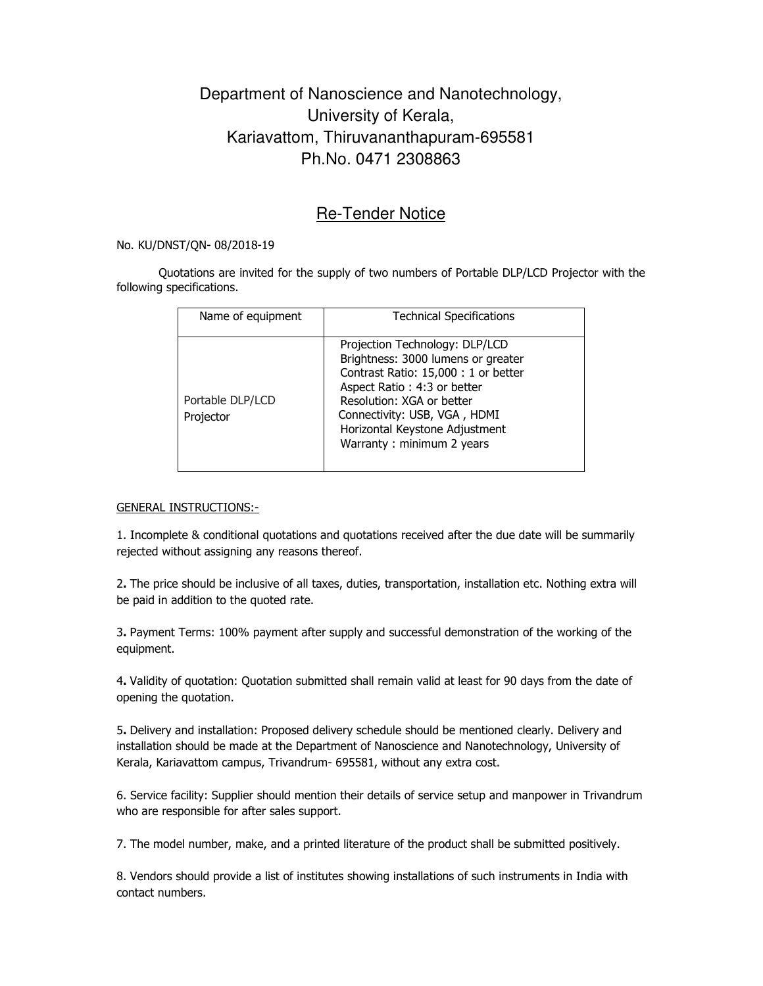## Department of Nanoscience and Nanotechnology, University of Kerala, Kariavattom, Thiruvananthapuram-695581 Ph.No. 0471 2308863

## Re-Tender Notice

No. KU/DNST/QN- 08/2018-19

Quotations are invited for the supply of two numbers of Portable DLP/LCD Projector with the following specifications.

| Name of equipment             | <b>Technical Specifications</b>                                                                                                                                                                                                                                         |
|-------------------------------|-------------------------------------------------------------------------------------------------------------------------------------------------------------------------------------------------------------------------------------------------------------------------|
| Portable DLP/LCD<br>Projector | Projection Technology: DLP/LCD<br>Brightness: 3000 lumens or greater<br>Contrast Ratio: 15,000 : 1 or better<br>Aspect Ratio: 4:3 or better<br>Resolution: XGA or better<br>Connectivity: USB, VGA, HDMI<br>Horizontal Keystone Adjustment<br>Warranty: minimum 2 years |

GENERAL INSTRUCTIONS:-

1. Incomplete & conditional quotations and quotations received after the due date will be summarily rejected without assigning any reasons thereof.

2. The price should be inclusive of all taxes, duties, transportation, installation etc. Nothing extra will be paid in addition to the quoted rate.

3. Payment Terms: 100% payment after supply and successful demonstration of the working of the equipment.

4. Validity of quotation: Quotation submitted shall remain valid at least for 90 days from the date of opening the quotation.

5. Delivery and installation: Proposed delivery schedule should be mentioned clearly. Delivery and installation should be made at the Department of Nanoscience and Nanotechnology, University of Kerala, Kariavattom campus, Trivandrum- 695581, without any extra cost.

6. Service facility: Supplier should mention their details of service setup and manpower in Trivandrum who are responsible for after sales support.

7. The model number, make, and a printed literature of the product shall be submitted positively.

8. Vendors should provide a list of institutes showing installations of such instruments in India with contact numbers.